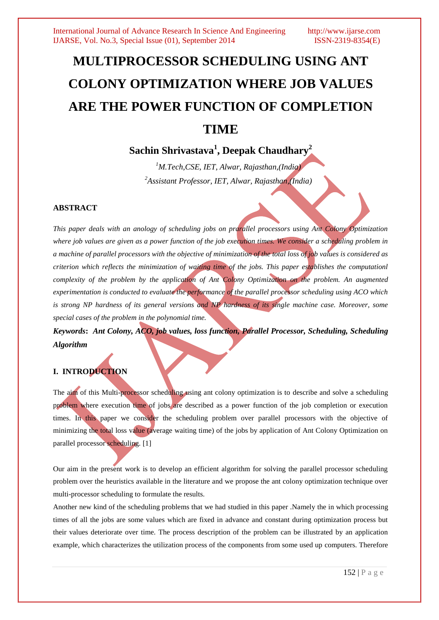# **MULTIPROCESSOR SCHEDULING USING ANT COLONY OPTIMIZATION WHERE JOB VALUES ARE THE POWER FUNCTION OF COMPLETION TIME**

# **Sachin Shrivastava<sup>1</sup> , Deepak Chaudhary<sup>2</sup>**

*<sup>1</sup>M.Tech,CSE, IET, Alwar, Rajasthan,(India) 2 Assistant Professor, IET, Alwar, Rajasthan,(India)*

# **ABSTRACT**

*This paper deals with an anology of scheduling jobs on prarallel processors using Ant Colony Optimization where job values are given as a power function of the job execution times. We consider a scheduling problem in a machine of parallel processors with the objective of minimization of the total loss of job values is considered as criterion which reflects the minimization of waiting time of the jobs. This paper establishes the computationl complexity of the problem by the application of Ant Colony Optimization on the problem. An augmented experimentation is conducted to evaluate the performance of the parallel processor scheduling using ACO which is strong NP hardness of its general versions and NP hardness of its single machine case. Moreover, some special cases of the problem in the polynomial time.*

*Keywords***:** *Ant Colony, ACO, job values, loss function, Parallel Processor, Scheduling, Scheduling Algorithm*

# **I. INTRODUCTION**

The aim of this Multi-processor scheduling using ant colony optimization is to describe and solve a scheduling problem where execution time of jobs are described as a power function of the job completion or execution times. In this paper we consider the scheduling problem over parallel processors with the objective of minimizing the total loss value (average waiting time) of the jobs by application of Ant Colony Optimization on parallel processor scheduling. [1]

Our aim in the present work is to develop an efficient algorithm for solving the parallel processor scheduling problem over the heuristics available in the literature and we propose the ant colony optimization technique over multi-processor scheduling to formulate the results.

Another new kind of the scheduling problems that we had studied in this paper .Namely the in which processing times of all the jobs are some values which are fixed in advance and constant during optimization process but their values deteriorate over time. The process description of the problem can be illustrated by an application example, which characterizes the utilization process of the components from some used up computers. Therefore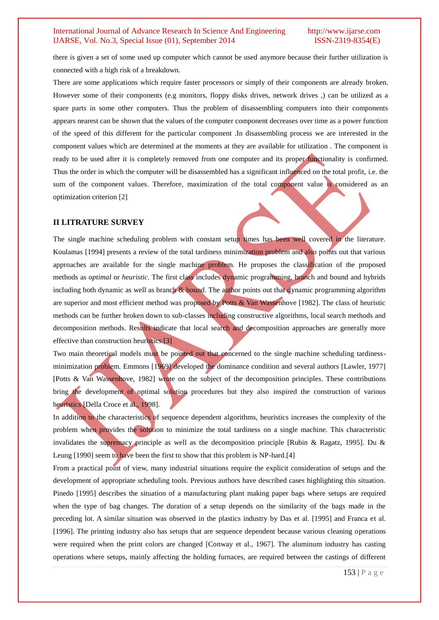there is given a set of some used up computer which cannot be used anymore because their further utilization is connected with a high risk of a breakdown.

There are some applications which require faster processors or simply of their components are already broken. However some of their components (e.g monitors, floppy disks drives, network drives ,) can be utilized as a spare parts in some other computers. Thus the problem of disassembling computers into their components appears nearest can be shown that the values of the computer component decreases over time as a power function of the speed of this different for the particular component .In disassembling process we are interested in the component values which are determined at the moments at they are available for utilization . The component is ready to be used after it is completely removed from one computer and its proper functionality is confirmed. Thus the order in which the computer will be disassembled has a significant influenced on the total profit, i.e. the sum of the component values. Therefore, maximization of the total component value is considered as an optimization criterion [2]

# **II LITRATURE SURVEY**

The single machine scheduling problem with constant setup times has been well covered in the literature. Koulamas [1994] presents a review of the total tardiness minimization problem and also points out that various approaches are available for the single machine problem. He proposes the classification of the proposed methods as *optimal* or *heuristic*. The first class includes dynamic programming, branch and bound and hybrids including both dynamic as well as branch & bound. The author points out that dynamic programming algorithm are superior and most efficient method was proposed by Potts & Van Wassenhove [1982]. The class of heuristic methods can be further broken down to sub-classes including constructive algorithms, local search methods and decomposition methods. Results indicate that local search and decomposition approaches are generally more effective than construction heuristics.[3]

Two main theoretical models must be pointed out that concerned to the single machine scheduling tardinessminimization problem. Emmons [1969] developed the dominance condition and several authors [Lawler, 1977] [Potts & Van Wassenhove, 1982] wrote on the subject of the decomposition principles. These contributions bring the development of optimal solution procedures but they also inspired the construction of various heuristics [Della Croce et al., 1998].

In addition to the characteristics of sequence dependent algorithms, heuristics increases the complexity of the problem when provides the solution to minimize the total tardiness on a single machine. This characteristic invalidates the supremacy principle as well as the decomposition principle [Rubin & Ragatz, 1995]. Du & Leung [1990] seem to have been the first to show that this problem is NP-hard.[4]

From a practical point of view, many industrial situations require the explicit consideration of setups and the development of appropriate scheduling tools. Previous authors have described cases highlighting this situation. Pinedo [1995] describes the situation of a manufacturing plant making paper bags where setups are required when the type of bag changes. The duration of a setup depends on the similarity of the bags made in the preceding lot. A similar situation was observed in the plastics industry by Das et al. [1995] and Franca et al. [1996]. The printing industry also has setups that are sequence dependent because various cleaning operations were required when the print colors are changed [Conway et al., 1967]. The aluminum industry has casting operations where setups, mainly affecting the holding furnaces, are required between the castings of different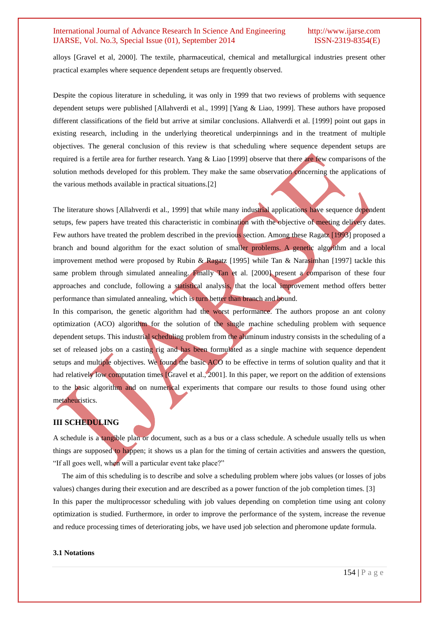alloys [Gravel et al, 2000]. The textile, pharmaceutical, chemical and metallurgical industries present other practical examples where sequence dependent setups are frequently observed.

Despite the copious literature in scheduling, it was only in 1999 that two reviews of problems with sequence dependent setups were published [Allahverdi et al., 1999] [Yang & Liao, 1999]. These authors have proposed different classifications of the field but arrive at similar conclusions. Allahverdi et al. [1999] point out gaps in existing research, including in the underlying theoretical underpinnings and in the treatment of multiple objectives. The general conclusion of this review is that scheduling where sequence dependent setups are required is a fertile area for further research. Yang & Liao [1999] observe that there are few comparisons of the solution methods developed for this problem. They make the same observation concerning the applications of the various methods available in practical situations.[2]

The literature shows [Allahverdi et al., 1999] that while many industrial applications have sequence dependent setups, few papers have treated this characteristic in combination with the objective of meeting delivery dates. Few authors have treated the problem described in the previous section. Among these Ragatz [1993] proposed a branch and bound algorithm for the exact solution of smaller problems. A genetic algorithm and a local improvement method were proposed by Rubin & Ragatz [1995] while Tan & Narasimhan [1997] tackle this same problem through simulated annealing. Finally Tan et al. [2000] present a comparison of these four approaches and conclude, following a statistical analysis, that the local improvement method offers better performance than simulated annealing, which is turn better than branch and bound.

In this comparison, the genetic algorithm had the worst performance. The authors propose an ant colony optimization (ACO) algorithm for the solution of the single machine scheduling problem with sequence dependent setups. This industrial scheduling problem from the aluminum industry consists in the scheduling of a set of released jobs on a casting rig and has been formulated as a single machine with sequence dependent setups and multiple objectives. We found the basic ACO to be effective in terms of solution quality and that it had relatively low computation times [Gravel et al., 2001]. In this paper, we report on the addition of extensions to the basic algorithm and on numerical experiments that compare our results to those found using other metaheuristics.

# **III SCHEDULING**

A schedule is a tangible plan or document, such as a bus or a class schedule. A schedule usually tells us when things are supposed to happen; it shows us a plan for the timing of certain activities and answers the question, "If all goes well, when will a particular event take place?"

The aim of this scheduling is to describe and solve a scheduling problem where jobs values (or losses of jobs values) changes during their execution and are described as a power function of the job completion times. [3] In this paper the multiprocessor scheduling with job values depending on completion time using ant colony optimization is studied. Furthermore, in order to improve the performance of the system, increase the revenue and reduce processing times of deteriorating jobs, we have used job selection and pheromone update formula.

#### **3.1 Notations**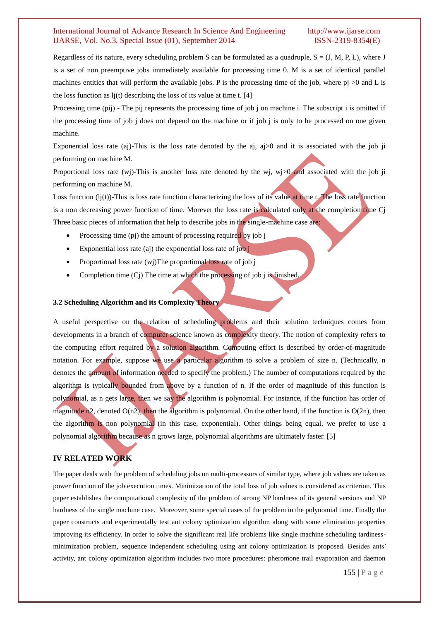Regardless of its nature, every scheduling problem S can be formulated as a quadruple,  $S = (J, M, P, L)$ , where J is a set of non preemptive jobs immediately available for processing time 0. M is a set of identical parallel machines entities that will perform the available jobs. P is the processing time of the job, where pj >0 and L is the loss function as  $l$ j(t) describing the loss of its value at time t. [4]

Processing time (pij) - The pij represents the processing time of job j on machine i. The subscript i is omitted if the processing time of job j does not depend on the machine or if job j is only to be processed on one given machine.

Exponential loss rate (aj)-This is the loss rate denoted by the aj, aj>0 and it is associated with the job ji performing on machine M.

Proportional loss rate (wj)-This is another loss rate denoted by the wj, wj $>0$  and associated with the job ji performing on machine M.

Loss function  $(lj(t))$ -This is loss rate function characterizing the loss of its value at time t. The loss rate function is a non decreasing power function of time. Morever the loss rate is calculated only at the completion time Cj Three basic pieces of information that help to describe jobs in the single-machine case are:

- Processing time (pj) the amount of processing required by job j
- Exponential loss rate (aj) the exponential loss rate of  $i$ ob  $j$
- Proportional loss rate  $(wj)$ The proportional loss rate of job j
- Completion time  $(C<sub>i</sub>)$  The time at which the processing of job j is finished.

#### **3.2 Scheduling Algorithm and its Complexity Theory**

A useful perspective on the relation of scheduling problems and their solution techniques comes from developments in a branch of computer science known as complexity theory. The notion of complexity refers to the computing effort required by a solution algorithm. Computing effort is described by order-of-magnitude notation. For example, suppose we use a particular algorithm to solve a problem of size n. (Technically, n denotes the amount of information needed to specify the problem.) The number of computations required by the algorithm is typically bounded from above by a function of n. If the order of magnitude of this function is polynomial, as n gets large, then we say the algorithm is polynomial. For instance, if the function has order of magnitude n2, denoted  $O(n2)$ , then the algorithm is polynomial. On the other hand, if the function is  $O(2n)$ , then the algorithm is non polynomial (in this case, exponential). Other things being equal, we prefer to use a polynomial algorithm because as n grows large, polynomial algorithms are ultimately faster. [5]

# **IV RELATED WORK**

The paper deals with the problem of scheduling jobs on multi-processors of similar type, where job values are taken as power function of the job execution times. Minimization of the total loss of job values is considered as criterion. This paper establishes the computational complexity of the problem of strong NP hardness of its general versions and NP hardness of the single machine case. Moreover, some special cases of the problem in the polynomial time. Finally the paper constructs and experimentally test ant colony optimization algorithm along with some elimination properties improving its efficiency. In order to solve the significant real life problems like single machine scheduling tardinessminimization problem, sequence independent scheduling using ant colony optimization is proposed. Besides ants' activity, ant colony optimization algorithm includes two more procedures: pheromone trail evaporation and daemon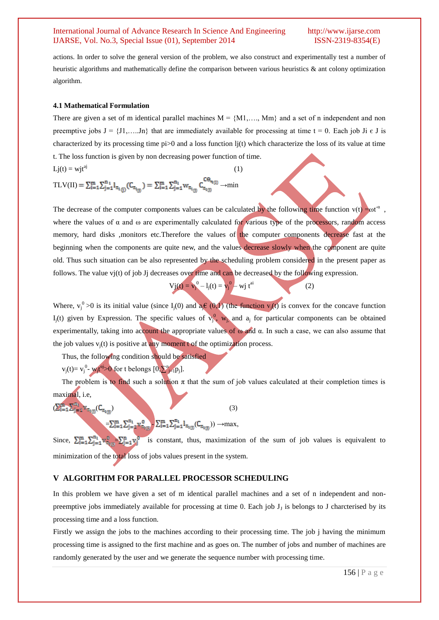actions. In order to solve the general version of the problem, we also construct and experimentally test a number of heuristic algorithms and mathematically define the comparison between various heuristics & ant colony optimization algorithm.

#### **4.1 Mathematical Formulation**

There are given a set of m identical parallel machines  $M = \{M1, \ldots, Mm\}$  and a set of n independent and non preemptive jobs  $J = \{J1, \ldots, Jn\}$  that are immediately available for processing at time  $t = 0$ . Each job Ji  $\epsilon$  J is characterized by its processing time  $pi>0$  and a loss function  $l<sub>i</sub>(t)$  which characterize the loss of its value at time t. The loss function is given by non decreasing power function of time.

$$
Lj(t) = wjt^{aj}
$$
\n
$$
TLV(II) = \sum_{i=1}^{m} \sum_{j=1}^{n} l_{\pi_{i(j)}}(C_{\pi_{i(j)}}) = \sum_{i=1}^{m} \sum_{j=1}^{n_{i}} w_{\pi_{i(j)}} C_{\pi_{i(j)}}^{C\Theta_{\pi_{i(j)}}} \to \min
$$
\n(1)

The decrease of the computer components values can be calculated by the following time function v(t) = $\omega t^a$ , where the values of  $\alpha$  and  $\omega$  are experimentally calculated for various type of the processors, random access memory, hard disks ,monitors etc.Therefore the values of the computer components decrease fast at the beginning when the components are quite new, and the values decrease slowly when the component are quite old. Thus such situation can be also represented by the scheduling problem considered in the present paper as follows. The value vj(t) of job Jj decreases over time and can be decreased by the following expression.

$$
Vj(t) = v_j^0 - l_j(t) = v_j^0 - wj t^{ai}
$$
 (2)

Where,  $v_j^0$  >0 is its initial value (since  $I_j(0)$  and  $a_j \in (0,1)$  (the function  $v_j(t)$  is convex for the concave function  $I_j(t)$  given by Expression. The specific values of  $v_j^0$ ,  $w_j$  and  $a_j$  for particular components can be obtained experimentally, taking into account the appropriate values of  $\omega$  and  $\alpha$ . In such a case, we can also assume that the job values  $v_i(t)$  is positive at any moment t of the optimization process.

Thus, the following condition should be satisfied

 $v_j(t) = v_j^{0}$ - w<sub>i</sub>t<sup>aj</sup>>0 for t belongs  $[0, \sum_{j=1}^n p_j]$ .

The problem is to find such a solution  $\pi$  that the sum of job values calculated at their completion times is maximal, i.e,

$$
(\sum_{i=1}^{m} \sum_{j=1}^{n_i} w_{\pi_{i(j)}} (C_{\pi_{i(j)}})
$$
\n(3)

$$
=\hspace*{-1ex}\sum_{i=1}^{m} \sum_{j=1}^{n_i} \hspace*{-1ex}v^0_{\overline{\pi}_{i\setminus n}}\hspace*{-1ex}\sum_{i=1}^{m} \hspace*{-1ex}\sum_{j=1}^{n_i} \hspace*{-1ex}1_{\pi_{i(j)}}(C_{\pi_{i(j)}}))\to \hspace*{-1ex}\max,
$$

Since,  $\sum_{i=1}^{m} \sum_{i=1}^{n_i} v_i^0$  is constant, thus, maximization of the sum of job values is equivalent to minimization of the total loss of jobs values present in the system.

# **V ALGORITHM FOR PARALLEL PROCESSOR SCHEDULING**

In this problem we have given a set of m identical parallel machines and a set of n independent and nonpreemptive jobs immediately available for processing at time  $0$ . Each job  $J<sub>J</sub>$  is belongs to J charcterised by its processing time and a loss function.

Firstly we assign the jobs to the machines according to their processing time. The job j having the minimum processing time is assigned to the first machine and as goes on. The number of jobs and number of machines are randomly generated by the user and we generate the sequence number with processing time.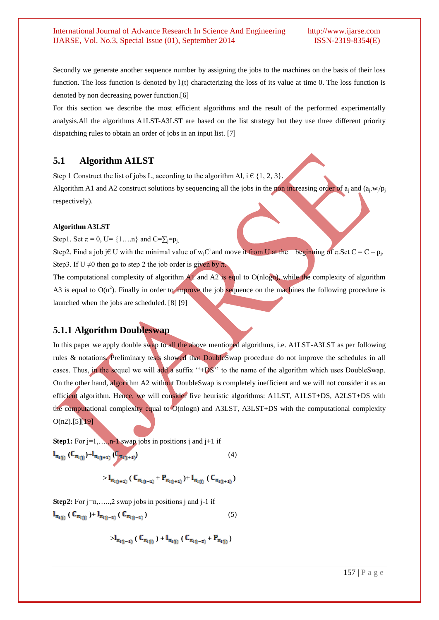Secondly we generate another sequence number by assigning the jobs to the machines on the basis of their loss function. The loss function is denoted by  $l_i(t)$  characterizing the loss of its value at time 0. The loss function is denoted by non decreasing power function.[6]

For this section we describe the most efficient algorithms and the result of the performed experimentally analysis.All the algorithms A1LST-A3LST are based on the list strategy but they use three different priority dispatching rules to obtain an order of jobs in an input list. [7]

# **5.1 Algorithm A1LST**

Step 1 Construct the list of jobs L, according to the algorithm Al, i  $\in \{1, 2, 3\}$ . Algorithm A1 and A2 construct solutions by sequencing all the jobs in the non increasing order of  $a_j$  and  $(a_j, w_j/p_j)$ respectively).

# **Algorithm A3LST**

Step1. Set  $\pi = 0$ , U= {1…, n} and C= $\Sigma_{i} = p_{i}$ .

Step2. Find a job j $\in$  U with the minimal value of w<sub>j</sub>C<sup>j</sup> and move it from U at the beginning of  $\pi$ . Set C = C – p<sub>j</sub>. Step3. If U  $\neq$ 0 then go to step 2 the job order is given by  $\pi$ .

The computational complexity of algorithm  $\overrightarrow{A1}$  and  $\overrightarrow{A2}$  is equl to O(nlogn), while the complexity of algorithm A3 is equal to  $O(n^2)$ . Finally in order to improve the job sequence on the machines the following procedure is launched when the jobs are scheduled. [8] [9]

# **5.1.1 Algorithm Doubleswap**

In this paper we apply double swap to all the above mentioned algorithms, i.e. AILST-A3LST as per following rules & notations. Preliminary tests showed that DoubleSwap procedure do not improve the schedules in all cases. Thus, in the sequel we will add a suffix  $H^*+DS$  to the name of the algorithm which uses DoubleSwap. On the other hand, algorithm A2 without DoubleSwap is completely inefficient and we will not consider it as an efficient algorithm. Hence, we will consider five heuristic algorithms: A1LST, A1LST+DS, A2LST+DS with the computational complexity equal to O(nlogn) and A3LST, A3LST+DS with the computational complexity  $O(n2)$ .[5][19]

**Step1:** For j=1,...,n-1 swap jobs in positions j and j+1 if  $\mathbf{l}_{\pi_{i(j)}}(C_{\pi_{i(j)}})+\mathbf{l}_{\pi_{i(j+1)}}(C_{\pi_{i(j+1)}})$  (4)

 $>$ **l**<sub> $\pi_{1(1+1)}$ </sub> (**C**<sub> $\pi_{1(1-1)}$ </sub> + **P**<sub> $\pi_{1(1+1)}$ )+**l**<sub> $\pi_{1(1)}$ </sub> (**C**<sub> $\pi_{1(1+1)}$ )</sub></sub>

**Step2:** For j=n,....,2 swap jobs in positions j and j-1 if  $\mathbf{l}_{\pi_{1(1)}}$  ( $\mathbf{C}_{\pi_{1(1)}}$ )+ $\mathbf{l}_{\pi_{1(1-1)}}$  ( $\mathbf{C}_{\pi_{1(1-1)}}$ ) (5)

 $>$ **l**<sub> $\pi_{(0-1)}$ </sub> ( $C_{\pi_{(0)}}$ ) +**l**<sub> $\pi_{(0)}$ </sub> ( $C_{\pi_{(0-2)}}$ +**P**<sub> $\pi_{(0)}$ )</sub>

157 | P a g e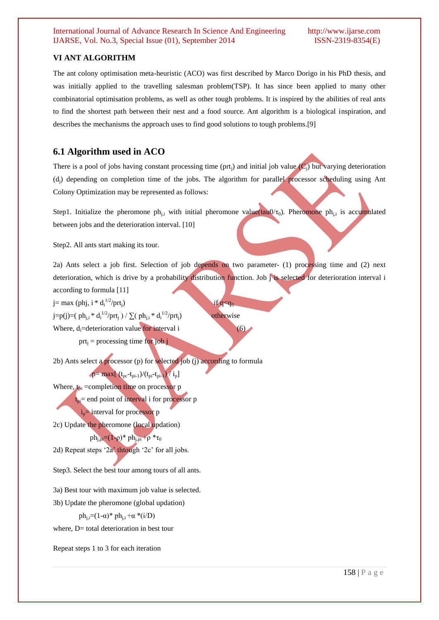# **VI ANT ALGORITHM**

The ant colony optimisation meta-heuristic (ACO) was first described by Marco Dorigo in his PhD thesis, and was initially applied to the travelling salesman problem(TSP). It has since been applied to many other combinatorial optimisation problems, as well as other tough problems. It is inspired by the abilities of real ants to find the shortest path between their nest and a food source. Ant algorithm is a biological inspiration, and describes the mechanisms the approach uses to find good solutions to tough problems.[9]

# **6.1 Algorithm used in ACO**

There is a pool of jobs having constant processing time (prt<sub>i</sub>) and initial job value  $(C_i)$  but varying deterioration (dj) depending on completion time of the jobs. The algorithm for parallel processor scheduling using Ant Colony Optimization may be represented as follows:

Step1. Initialize the pheromone ph<sub>i,i</sub> with initial pheromone value( $tan0/\tau_0$ ). Pheromone ph<sub>i,i</sub> is accumulated between jobs and the deterioration interval. [10]

Step2. All ants start making its tour.

2a) Ants select a job first. Selection of job depends on two parameter- (1) processing time and (2) next deterioration, which is drive by a probability distribution function. Job j is selected for deterioration interval i according to formula [11]

 $j=$  max (phj, i \* d<sub>i</sub><sup>1/2</sup>/prt<sub>j</sub>) if  $q < q_0$ . j=p(j)=( ph<sub>j,i</sub> \* d<sub>i</sub><sup>1/2</sup>/prt<sub>j</sub> ) /  $\sum$ ( ph<sub>j,i</sub> \* d<sub>i</sub><sup>1/2</sup>/prt<sub>j</sub>) **otherwise** Where,  $d_i$ =deterioration value for interval i (6) prt<sub>i</sub> = processing time for job j

2b) Ants select a processor (p) for selected job (j) according to formula

$$
p = \max[\ (t_{pc} - t_{pi-1})/(t_{pi} - t_{pi-1})/i_p]
$$

Where,  $t_{\text{bc}}$  =completion time on processor p  $t_{pi}$  end point of interval i for processor p  $i_p$ = interval for processor p

2c) Update the pheromone (local updation)  $ph_{j,pi} = (1-ρ)*ph_{j,pi} + ρ*τ_0$ 

2d) Repeat steps '2a' thtough '2c' for all jobs.

Step3. Select the best tour among tours of all ants.

3a) Best tour with maximum job value is selected.

3b) Update the pheromone (global updation)

ph<sub>i</sub> $=(1-\alpha)^*$  ph<sub>i</sub> $+\alpha$ <sup>\*</sup>(i/D)

where,  $D=$  total deterioration in best tour

Repeat steps 1 to 3 for each iteration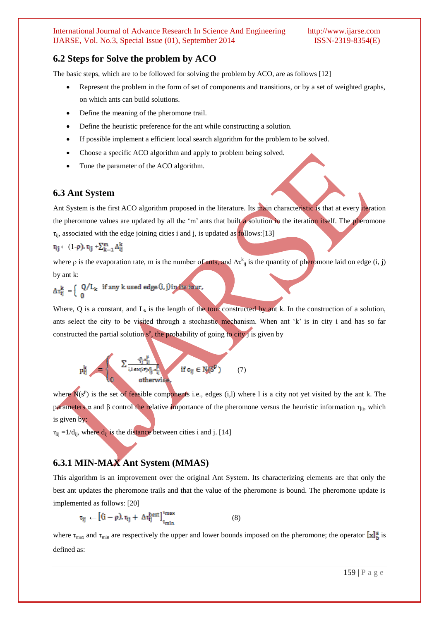# **6.2 Steps for Solve the problem by ACO**

The basic steps, which are to be followed for solving the problem by ACO, are as follows [12]

- Represent the problem in the form of set of components and transitions, or by a set of weighted graphs, on which ants can build solutions.
- Define the meaning of the pheromone trail.
- Define the heuristic preference for the ant while constructing a solution.
- If possible implement a efficient local search algorithm for the problem to be solved.
- Choose a specific ACO algorithm and apply to problem being solved.
- Tune the parameter of the ACO algorithm.

# **6.3 Ant System**

Ant System is the first ACO algorithm proposed in the literature. Its main characteristic is that at every iteration the pheromone values are updated by all the 'm' ants that built a solution in the iteration itself. The pheromone  $\tau_{ii}$ , associated with the edge joining cities i and j, is updated as follows:[13]

$$
\tau_{ij} \leftarrow (1 \cdot \rho), \tau_{ij} + \sum_{k=1}^m \Delta_{ij}^k
$$

where  $\rho$  is the evaporation rate, m is the number of ants, and  $\Delta \tau^k_{ij}$  is the quantity of pheromone laid on edge (i, j) by ant k:

$$
\Delta\tau_{ij}^k \ = \Big\{ \begin{array}{ll} \text{Q}/L_k & \text{if any $k$ used edge $(i,j)$ in its tour,} \\ 0 & \end{array} \Big\}
$$

Where, Q is a constant, and  $L_k$  is the length of the tour constructed by ant k. In the construction of a solution, ants select the city to be visited through a stochastic mechanism. When ant 'k' is in city i and has so far constructed the partial solution  $s^p$ , the probability of going to city j is given by

$$
p_{ij}^k = \left\{ \begin{matrix} \sum \frac{c_{ij}^n \mathbb{Z}_{ij}^p}{i,1 \in \mathbb{N}(\mathbb{I}\mathcal{P}_{ij}^n, \mathbb{Z}_{ij}^p)} & \text{if } c_{ij} \in N(\mathcal{S}^p) \\ 0 & \text{otherwise} \end{matrix} \right. \tag{7}
$$

where  $N(s^p)$  is the set of feasible components i.e., edges (i,l) where l is a city not yet visited by the ant k. The parameters α and β control the relative importance of the pheromone versus the heuristic information  $η_{ii}$ , which is given by:

 $\eta_{ii} = 1/d_{ii}$ , where  $d_{ii}$  is the distance between cities i and j. [14]

# **6.3.1 MIN-MAX Ant System (MMAS)**

This algorithm is an improvement over the original Ant System. Its characterizing elements are that only the best ant updates the pheromone trails and that the value of the pheromone is bound. The pheromone update is implemented as follows: [20]

$$
\tau_{ij} \leftarrow \left[ (i-\rho), \tau_{ij} + \Delta \tau_{ij}^{\text{best}} \right]_{\tau_{\text{min}}}^{\tau_{\text{max}}} \tag{8}
$$

where  $\tau_{\text{max}}$  and  $\tau_{\text{min}}$  are respectively the upper and lower bounds imposed on the pheromone; the operator  $\left[\mathbf{x}\right]_h^{\mathbf{a}}$  is defined as: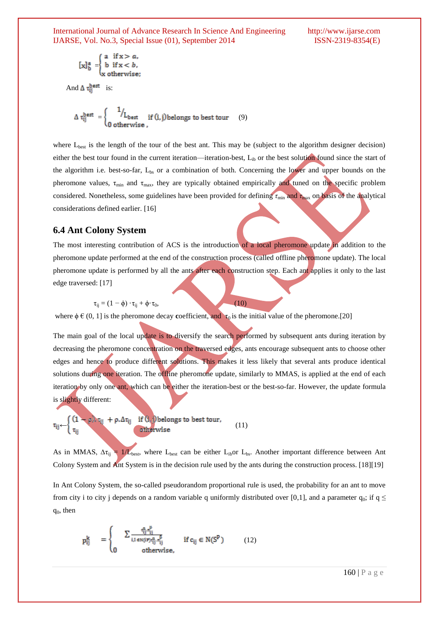$$
[x]_b^a = \begin{cases} a & \text{if } x > a, \\ b & \text{if } x < b, \\ x & \text{otherwise}; \end{cases}
$$

And  $\Delta \tau_{ii}^{\text{best}}$  is:

$$
\Delta \tau_{ij}^{\text{best}} = \begin{cases} 1/\mathcal{L}_{\text{best}} & \text{if } (i,j) \text{ belongs to best tour} \\ 0 & \text{otherwise} \end{cases}
$$

where  $L_{best}$  is the length of the tour of the best ant. This may be (subject to the algorithm designer decision) either the best tour found in the current iteration—iteration-best,  $L<sub>ib</sub>$  or the best solution found since the start of the algorithm i.e. best-so-far, Lbs or a combination of both. Concerning the lower and upper bounds on the pheromone values,  $\tau_{\min}$  and  $\tau_{\max}$ , they are typically obtained empirically and tuned on the specific problem considered. Nonetheless, some guidelines have been provided for defining *τ*min and *τ*max on basis of the analytical considerations defined earlier. [16]

# **6.4 Ant Colony System**

The most interesting contribution of ACS is the introduction of a local pheromone update in addition to the pheromone update performed at the end of the construction process (called offline pheromone update). The local pheromone update is performed by all the ants after each construction step. Each ant applies it only to the last edge traversed: [17]

$$
\tau_{ij} = (1 - \phi) \cdot \tau_{ij} + \phi \cdot \tau_0, \tag{10}
$$

where  $\phi \in (0, 1]$  is the pheromone decay **c**oefficient, and  $\tau_0$  is the initial value of the pheromone.[20]

The main goal of the local update is to diversify the search performed by subsequent ants during iteration by decreasing the pheromone concentration on the traversed edges, ants encourage subsequent ants to choose other edges and hence to produce different solutions. This makes it less likely that several ants produce identical solutions during one iteration. The offline pheromone update, similarly to MMAS, is applied at the end of each iteration by only one ant, which can be either the iteration-best or the best-so-far. However, the update formula is slightly different:

$$
\tau_{ij} \leftarrow \begin{cases} (1 - \rho)^j \tau_{ij} + \rho . \Delta \tau_{ij} & \text{if } (i,j) \text{ belongs to best tour,} \\ \tau_{ij} & \text{otherwise} \end{cases} \tag{11}
$$

As in MMAS,  $\Delta \tau_{ij} = 1/L_{best}$ , where L<sub>best</sub> can be either L<sub>ib</sub>or L<sub>bs</sub>. Another important difference between Ant Colony System and Ant System is in the decision rule used by the ants during the construction process. [18][19]

In Ant Colony System, the so-called pseudorandom proportional rule is used, the probability for an ant to move from city i to city j depends on a random variable q uniformly distributed over [0,1], and a parameter  $q_0$ ; if  $q \leq$  $q_0$ , then

$$
p_{ij}^k = \begin{cases} \sum_{i,l \in N(iP)\setminus \{i\}} \frac{e_{ij}^n, e_{ij}^p}{e_{ij}} & \text{if } c_{ij} \in N(S^P) \\ 0 & \text{otherwise,} \end{cases}
$$
 (12)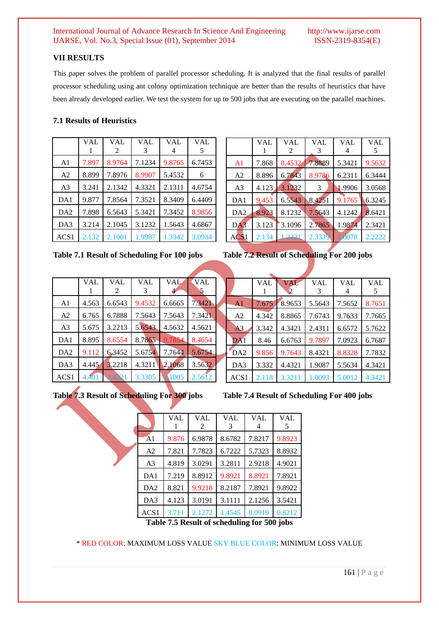# **VII RESULTS**

This paper solves the problem of parallel processor scheduling. It is analyzed that the final results of parallel processor scheduling using ant colony optimization technique are better than the results of heuristics that have been already developed earlier. We test the system for up to 500 jobs that are executing on the parallel machines.

# **7.1 Results of Heuristics**

|                  | VAL   | <b>VAL</b> | <b>VAL</b> | VAL    | VAL    |
|------------------|-------|------------|------------|--------|--------|
|                  |       | 2          | 3          |        | 5      |
| A <sub>1</sub>   | 7.897 | 8.9764     | 7.1234     | 9.8765 | 6.7453 |
| A <sub>2</sub>   | 8.899 | 7.8976     | 8.9907     | 5.4532 | 6      |
| A <sub>3</sub>   | 3.241 | 2.1342     | 4.3321     | 2.1311 | 4.6754 |
| DA1              | 9.877 | 7.8564     | 7.3521     | 8.3409 | 6.4409 |
| DA <sub>2</sub>  | 7.898 | 6.5643     | 5.3421     | 7.3452 | 8.9856 |
| DA3              | 3.214 | 2.1045     | 3.1232     | 1.5643 | 4.6867 |
| ACS <sub>1</sub> | 2.132 | 2.1001     | 1.9987     | 1.3342 | 3.0934 |

|  | Table 7.1 Result of Scheduling For 100 jobs |  |  |
|--|---------------------------------------------|--|--|
|  |                                             |  |  |

|                  | VAL   | VAL<br>2 | <b>VAL</b><br>3 | <b>VAL</b> | <b>VAL</b> |
|------------------|-------|----------|-----------------|------------|------------|
| A <sub>1</sub>   | 7.868 | 8.4532   | 7.8889          | 5.3421     | 9.5632     |
| A <sub>2</sub>   | 8.896 | 6.7843   | 8.9786          | 6.2311     | 6.3444     |
| A <sub>3</sub>   | 4.123 | 3.1232   | 3               | 1.9906     | 3.0568     |
| DA1              | 9.453 | 6.5543   | 8.4251          | 9.1765     | 6.3245     |
| DA2              | 8.923 | 8.1232   | 7.5643          | 4.1242     | 8.6421     |
| DA3              | 3.123 | 3.1096   | 2.7865          | 1.9874     | 2.3421     |
| ACS <sub>1</sub> | 2.134 | 1.2321   | 2.3339          | 1.0078     | 2.2222     |

Table 7.2 Result of Scheduling For 200 jobs

|                | VAL   | <b>VAL</b><br>2 | <b>VAL</b><br>3 | <b>VAL</b> | VAL    |
|----------------|-------|-----------------|-----------------|------------|--------|
| A1             | 4.563 | 6.6543          | 9.4532          | 6.6665     | 7.3421 |
| A2             | 6.765 | 6.7888          | 7.5643          | 7.5643     | 7.3421 |
| A <sub>3</sub> | 5.675 | 3.2213          | 5.6543          | 4.5632     | 4.5621 |
| DA1            | 8.895 | 8.6554          | 8.7865          | 9.7854     | 8.4654 |
| DA2            | 9.112 | 6.3452          | 5.6754          | 7.7644     | 5.6754 |
| DA3            | 4.445 | 3.2218          | 4.3211          | 2.1068     | 3.5632 |
| ACS1           | 4.401 | 2.4321          | 3.3305          | 1005       | 2.5612 |

**Table 7.3 Result of Scheduling For 300 jobs Table 7.4 Result of Scheduling For 400 jobs**

|                  | VAL   | VAL.<br>2 | <b>VAL</b><br>3 | VAL    | VAL<br>5 |  |  |
|------------------|-------|-----------|-----------------|--------|----------|--|--|
| A <sub>1</sub>   | 7.675 | 8.9653    | 5.5643          | 7.5652 | 8.7651   |  |  |
| A <sub>2</sub>   | 4.342 | 8.8865    | 7.6743          | 9.7633 | 7.7665   |  |  |
| A <sub>3</sub>   | 3.342 | 4.3421    | 2.4311          | 6.6572 | 5.7622   |  |  |
| DA1              | 8.46  | 6.6763    | 9.7897          | 7.0923 | 6.7687   |  |  |
| DA <sub>2</sub>  | 9.856 | 9.7643    | 8.4321          | 8.8328 | 7.7832   |  |  |
| DA3              | 3.332 | 4.4321    | 1.9087          | 5.5634 | 4.3421   |  |  |
| ACS <sub>1</sub> | 2.118 | 3.3211    | 1.0093          | 5.0012 | 4.3421   |  |  |

|                                              | <b>VAL</b> | <b>VAL</b><br>$\mathfrak{D}$ | <b>VAL</b><br>3 | <b>VAL</b> | VAL<br>5 |  |
|----------------------------------------------|------------|------------------------------|-----------------|------------|----------|--|
| A <sub>1</sub>                               | 9.876      | 6.9878                       | 8.6782          | 7.8217     | 9.8923   |  |
| A <sub>2</sub>                               | 7.821      | 7.7823                       | 6.7222          | 5.7323     | 8.8932   |  |
| A <sub>3</sub>                               | 4.819      | 3.0291                       | 3.2811          | 2.9218     | 4.9021   |  |
| DA1                                          | 7.219      | 8.8912                       | 9.8921          | 8.8921     | 7.8921   |  |
| DA <sub>2</sub>                              | 8.821      | 9.9218                       | 8.2187          | 7.8921     | 9.8922   |  |
| DA3                                          | 4.123      | 3.0191                       | 3.1111          | 2.1256     | 3.5421   |  |
| ACS1                                         | 3.711      | 2.1272                       | 1.4545          | 0.0919     | 0.8212   |  |
| Toble 7 5 Decult of scheduling for 500 jobs. |            |                              |                 |            |          |  |

**Table 7.5 Result of scheduling for 500 jobs**

\* RED COLOR: MAXIMUM LOSS VALUE SKY BLUE COLOR: MINIMUM LOSS VALUE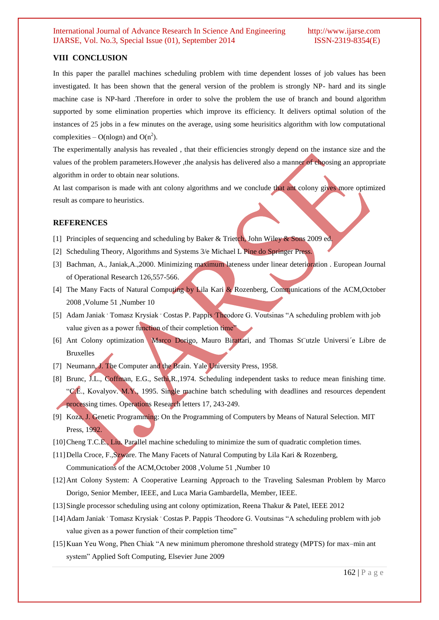# **VIII CONCLUSION**

In this paper the parallel machines scheduling problem with time dependent losses of job values has been investigated. It has been shown that the general version of the problem is strongly NP- hard and its single machine case is NP-hard .Therefore in order to solve the problem the use of branch and bound algorithm supported by some elimination properties which improve its efficiency. It delivers optimal solution of the instances of 25 jobs in a few minutes on the average, using some heurisitics algorithm with low computational complexities – O(nlogn) and O( $n^2$ ).

The experimentally analysis has revealed , that their efficiencies strongly depend on the instance size and the values of the problem parameters.However ,the analysis has delivered also a manner of choosing an appropriate algorithm in order to obtain near solutions.

At last comparison is made with ant colony algorithms and we conclude that ant colony gives more optimized result as compare to heuristics.

#### **REFERENCES**

- [1] Principles of sequencing and scheduling by Baker & Trietch, John Wiley & Sons 2009 ed.
- [2] Scheduling Theory, Algorithms and Systems 3/e Michael L Pine do Springer Press.
- [3] Bachman, A., Janiak,A.,2000. Minimizing maximum lateness under linear deterioration . European Journal of Operational Research 126,557-566.
- [4] The Many Facts of Natural Computing by Lila Kari & Rozenberg, Communications of the ACM, October 2008 ,Volume 51 ,Number 10
- [5] Adam Janiak 'Tomasz Krysiak ' Costas P. Pappis 'Theodore G. Voutsinas "A scheduling problem with job value given as a power function of their completion time<sup>?</sup>
- [6] Ant Colony optimization Marco Dorigo, Mauro Birattari, and Thomas St¨utzle Universi´e Libre de Bruxelles
- [7] Neumann, J. The Computer and the Brain. Yale University Press, 1958.
- [8] Brunc, J.L., Coffman, E.G., Sethi,R.,1974. Scheduling independent tasks to reduce mean finishing time. "C.E., Kovalyov. M.Y., 1995. Single machine batch scheduling with deadlines and resources dependent processing times. Operations Research letters 17, 243-249.
- [9] Koza, J. Genetic Programming: On the Programming of Computers by Means of Natural Selection. MIT Press, 1992.
- [10] Cheng T.C.E., Liu. Parallel machine scheduling to minimize the sum of quadratic completion times.
- [11] Della Croce, F., Szware. The Many Facets of Natural Computing by Lila Kari & Rozenberg, Communications of the ACM,October 2008 ,Volume 51 ,Number 10
- [12] Ant Colony System: A Cooperative Learning Approach to the Traveling Salesman Problem by Marco Dorigo, Senior Member, IEEE, and Luca Maria Gambardella, Member, IEEE.
- [13]Single processor scheduling using ant colony optimization, Reena Thakur & Patel, IEEE 2012
- [14] Adam Janiak 'Tomasz Krysiak ' Costas P. Pappis 'Theodore G. Voutsinas "A scheduling problem with job value given as a power function of their completion time"
- [15] Kuan Yeu Wong, Phen Chiak "A new minimum pheromone threshold strategy (MPTS) for max–min ant system" Applied Soft Computing, Elsevier June 2009